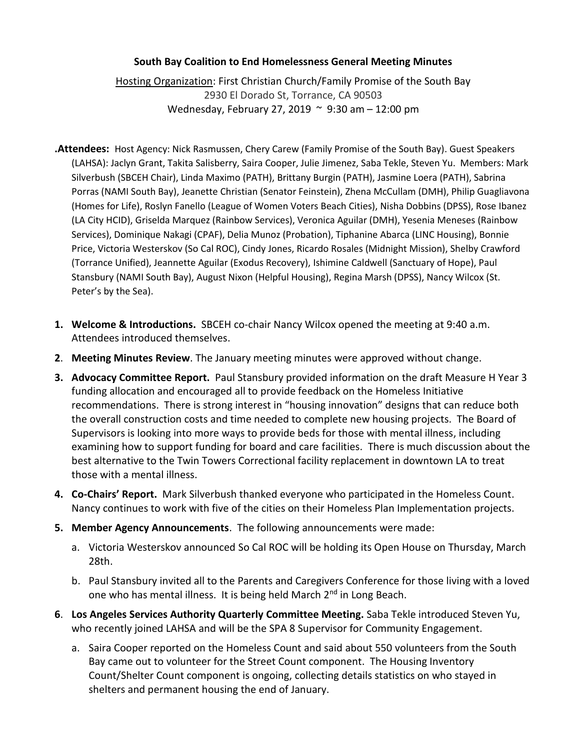## **South Bay Coalition to End Homelessness General Meeting Minutes**

Hosting Organization: First Christian Church/Family Promise of the South Bay 2930 El Dorado St, Torrance, CA 90503 Wednesday, February 27, 2019 ~ 9:30 am – 12:00 pm

- **.Attendees:** Host Agency: Nick Rasmussen, Chery Carew (Family Promise of the South Bay). Guest Speakers (LAHSA): Jaclyn Grant, Takita Salisberry, Saira Cooper, Julie Jimenez, Saba Tekle, Steven Yu. Members: Mark Silverbush (SBCEH Chair), Linda Maximo (PATH), Brittany Burgin (PATH), Jasmine Loera (PATH), Sabrina Porras (NAMI South Bay), Jeanette Christian (Senator Feinstein), Zhena McCullam (DMH), Philip Guagliavona (Homes for Life), Roslyn Fanello (League of Women Voters Beach Cities), Nisha Dobbins (DPSS), Rose Ibanez (LA City HCID), Griselda Marquez (Rainbow Services), Veronica Aguilar (DMH), Yesenia Meneses (Rainbow Services), Dominique Nakagi (CPAF), Delia Munoz (Probation), Tiphanine Abarca (LINC Housing), Bonnie Price, Victoria Westerskov (So Cal ROC), Cindy Jones, Ricardo Rosales (Midnight Mission), Shelby Crawford (Torrance Unified), Jeannette Aguilar (Exodus Recovery), Ishimine Caldwell (Sanctuary of Hope), Paul Stansbury (NAMI South Bay), August Nixon (Helpful Housing), Regina Marsh (DPSS), Nancy Wilcox (St. Peter's by the Sea).
- **1. Welcome & Introductions.** SBCEH co-chair Nancy Wilcox opened the meeting at 9:40 a.m. Attendees introduced themselves.
- **2**. **Meeting Minutes Review**. The January meeting minutes were approved without change.
- **3. Advocacy Committee Report.** Paul Stansbury provided information on the draft Measure H Year 3 funding allocation and encouraged all to provide feedback on the Homeless Initiative recommendations. There is strong interest in "housing innovation" designs that can reduce both the overall construction costs and time needed to complete new housing projects. The Board of Supervisors is looking into more ways to provide beds for those with mental illness, including examining how to support funding for board and care facilities. There is much discussion about the best alternative to the Twin Towers Correctional facility replacement in downtown LA to treat those with a mental illness.
- **4. Co-Chairs' Report.** Mark Silverbush thanked everyone who participated in the Homeless Count. Nancy continues to work with five of the cities on their Homeless Plan Implementation projects.
- **5. Member Agency Announcements**. The following announcements were made:
	- a. Victoria Westerskov announced So Cal ROC will be holding its Open House on Thursday, March 28th.
	- b. Paul Stansbury invited all to the Parents and Caregivers Conference for those living with a loved one who has mental illness. It is being held March 2<sup>nd</sup> in Long Beach.
- **6**. **Los Angeles Services Authority Quarterly Committee Meeting.** Saba Tekle introduced Steven Yu, who recently joined LAHSA and will be the SPA 8 Supervisor for Community Engagement.
	- a. Saira Cooper reported on the Homeless Count and said about 550 volunteers from the South Bay came out to volunteer for the Street Count component. The Housing Inventory Count/Shelter Count component is ongoing, collecting details statistics on who stayed in shelters and permanent housing the end of January.